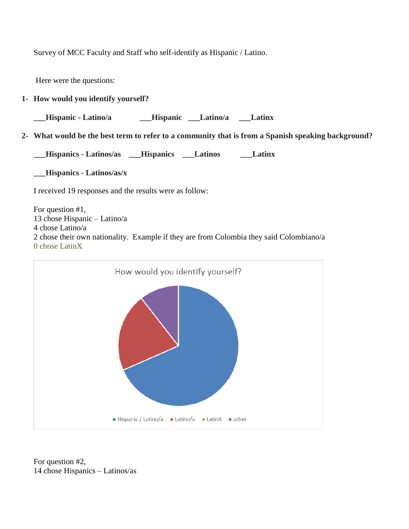Survey of MCC Faculty and Staff who self-identify as Hispanic / Latino.

Here were the questions:

**1- How would you identify yourself?**

**\_\_\_Hispanic - Latino/a \_\_\_Hispanic \_\_\_Latino/a \_\_\_Latinx**

**2- What would be the best term to refer to a community that is from a Spanish speaking background?**

**\_\_\_Hispanics - Latinos/as \_\_\_Hispanics \_\_\_Latinos \_\_\_Latinx** 

**\_\_\_Hispanics - Latinos/as/x** 

I received 19 responses and the results were as follow:

For question #1, 13 chose Hispanic – Latino/a 4 chose Latino/a 2 chose their own nationality. Example if they are from Colombia they said Colombiano/a 0 chose LatinX



For question #2, 14 chose Hispanics – Latinos/as